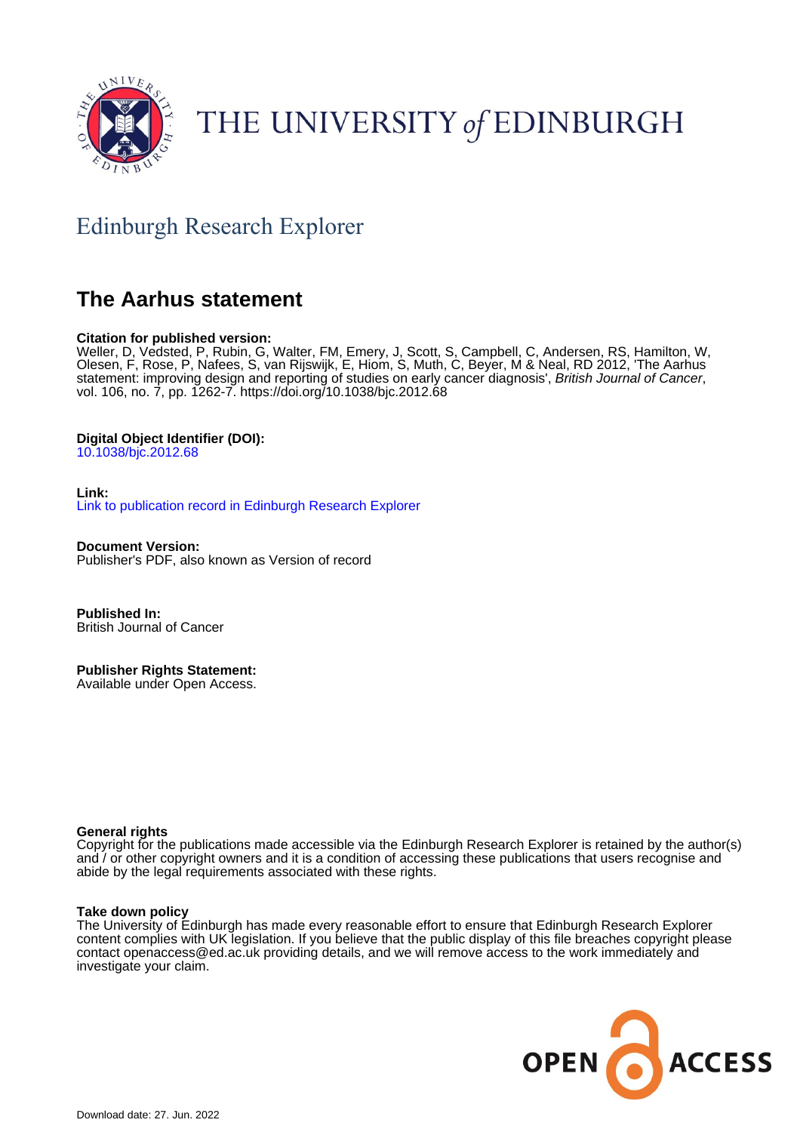

# THE UNIVERSITY of EDINBURGH

## Edinburgh Research Explorer

### **The Aarhus statement**

#### **Citation for published version:**

Weller, D, Vedsted, P, Rubin, G, Walter, FM, Emery, J, Scott, S, Campbell, C, Andersen, RS, Hamilton, W, Olesen, F, Rose, P, Nafees, S, van Rijswijk, E, Hiom, S, Muth, C, Beyer, M & Neal, RD 2012, 'The Aarhus statement: improving design and reporting of studies on early cancer diagnosis', British Journal of Cancer, vol. 106, no. 7, pp. 1262-7. <https://doi.org/10.1038/bjc.2012.68>

#### **Digital Object Identifier (DOI):**

[10.1038/bjc.2012.68](https://doi.org/10.1038/bjc.2012.68)

#### **Link:**

[Link to publication record in Edinburgh Research Explorer](https://www.research.ed.ac.uk/en/publications/8945f8a2-fa8e-4970-a34f-67824a86fa1c)

**Document Version:** Publisher's PDF, also known as Version of record

**Published In:** British Journal of Cancer

**Publisher Rights Statement:** Available under Open Access.

#### **General rights**

Copyright for the publications made accessible via the Edinburgh Research Explorer is retained by the author(s) and / or other copyright owners and it is a condition of accessing these publications that users recognise and abide by the legal requirements associated with these rights.

#### **Take down policy**

The University of Edinburgh has made every reasonable effort to ensure that Edinburgh Research Explorer content complies with UK legislation. If you believe that the public display of this file breaches copyright please contact openaccess@ed.ac.uk providing details, and we will remove access to the work immediately and investigate your claim.

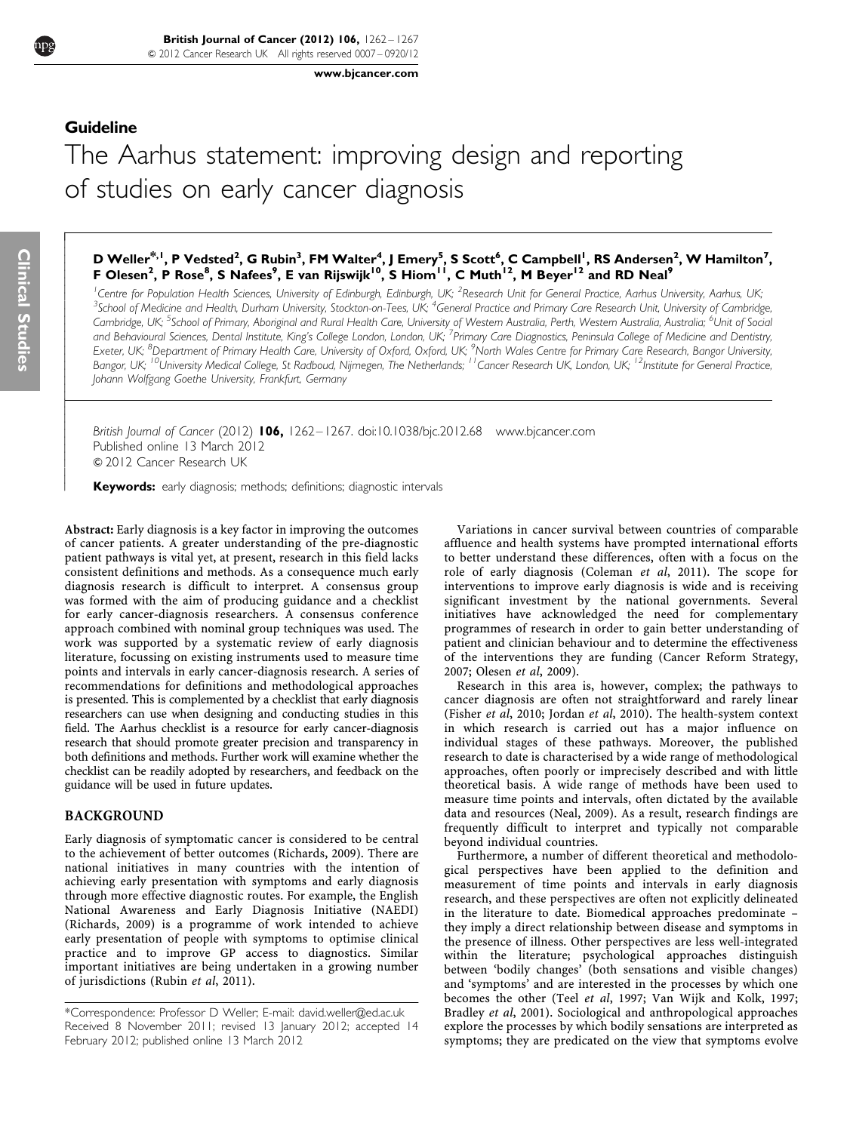[www.bjcancer.com](http://www.bjcancer.com)

#### **Guideline**

# Clinical Studies

-------------------------------

## The Aarhus statement: improving design and reporting of studies on early cancer diagnosis

#### D Weller $^{*,}$ !, P Vedsted $^2$ , G Rubin $^3$ , FM Walter $^4$ , J Emery $^5$ , S Scott $^6$ , C Campbell<sup>1</sup>, RS Andersen $^2$ , W Hamilton $^7$ , F Olesen<sup>2</sup>, P Rose<sup>8</sup>, S Nafees<sup>9</sup>, E van Rijswijk<sup>10</sup>, S Hiom<sup>11</sup>, C Muth<sup>12</sup>, M Beyer<sup>12</sup> and RD Neal<sup>9</sup>

<sup>I</sup>Centre for Population Health Sciences, University of Edinburgh, Edinburgh, UK; <sup>2</sup>Research Unit for General Practice, Aarhus University, Aarhus, UK;<br><sup>3</sup>School of Medicine and Health, Durham University, Stockton-on-Tees, Cambridge, UK; <sup>5</sup>School of Primary, Aboriginal and Rural Health Care, University of Western Australia, Perth, Western Australia, Australia; <sup>6</sup>Unit of Socia. and Behavioural Sciences, Dental Institute, King's College London, London, UK; <sup>7</sup>Primary Care Diagnostics, Peninsula College of Medicine and Dentistry, Exeter, UK; <sup>8</sup>Department of Primary Health Care, University of Oxford, Oxford, UK; <sup>9</sup>North Wales Centre for Primary Care Research, Bangor University, Bangor, UK; <sup>10</sup>University Medical College, St Radboud, Nijmegen, The Netherlands; <sup>11</sup>Cancer Research UK, London, UK; <sup>12</sup>Institute for General Practice, Johann Wolfgang Goethe University, Frankfurt, Germany

British Journal of Cancer (2012) 106, 1262-1267. doi[:10.1038/bjc.2012.68](http://dx.doi.org/10.1038/bjc.2012.68) [www.bjcancer.com](http://www.bjcancer.com) Published online 13 March 2012 & 2012 Cancer Research UK

**Keywords:** early diagnosis; methods; definitions; diagnostic intervals

Abstract: Early diagnosis is a key factor in improving the outcomes of cancer patients. A greater understanding of the pre-diagnostic patient pathways is vital yet, at present, research in this field lacks consistent definitions and methods. As a consequence much early diagnosis research is difficult to interpret. A consensus group was formed with the aim of producing guidance and a checklist for early cancer-diagnosis researchers. A consensus conference approach combined with nominal group techniques was used. The work was supported by a systematic review of early diagnosis literature, focussing on existing instruments used to measure time points and intervals in early cancer-diagnosis research. A series of recommendations for definitions and methodological approaches is presented. This is complemented by a checklist that early diagnosis researchers can use when designing and conducting studies in this field. The Aarhus checklist is a resource for early cancer-diagnosis research that should promote greater precision and transparency in both definitions and methods. Further work will examine whether the checklist can be readily adopted by researchers, and feedback on the guidance will be used in future updates.

#### BACKGROUND

Early diagnosis of symptomatic cancer is considered to be central to the achievement of better outcomes ([Richards, 2009\)](#page-6-0). There are national initiatives in many countries with the intention of achieving early presentation with symptoms and early diagnosis through more effective diagnostic routes. For example, the English National Awareness and Early Diagnosis Initiative (NAEDI) ([Richards, 2009\)](#page-6-0) is a programme of work intended to achieve early presentation of people with symptoms to optimise clinical practice and to improve GP access to diagnostics. Similar important initiatives are being undertaken in a growing number of jurisdictions ([Rubin](#page-6-0) et al, 2011).

Variations in cancer survival between countries of comparable affluence and health systems have prompted international efforts to better understand these differences, often with a focus on the role of early diagnosis ([Coleman](#page-5-0) et al, 2011). The scope for interventions to improve early diagnosis is wide and is receiving significant investment by the national governments. Several initiatives have acknowledged the need for complementary programmes of research in order to gain better understanding of patient and clinician behaviour and to determine the effectiveness of the interventions they are funding ([Cancer Reform Strategy,](#page-5-0) [2007;](#page-5-0) [Olesen](#page-6-0) et al, 2009).

Research in this area is, however, complex; the pathways to cancer diagnosis are often not straightforward and rarely linear (Fisher et al[, 2010; Jordan](#page-6-0) et al, 2010). The health-system context in which research is carried out has a major influence on individual stages of these pathways. Moreover, the published research to date is characterised by a wide range of methodological approaches, often poorly or imprecisely described and with little theoretical basis. A wide range of methods have been used to measure time points and intervals, often dictated by the available data and resources [\(Neal, 2009](#page-6-0)). As a result, research findings are frequently difficult to interpret and typically not comparable beyond individual countries.

Furthermore, a number of different theoretical and methodological perspectives have been applied to the definition and measurement of time points and intervals in early diagnosis research, and these perspectives are often not explicitly delineated in the literature to date. Biomedical approaches predominate – they imply a direct relationship between disease and symptoms in the presence of illness. Other perspectives are less well-integrated within the literature; psychological approaches distinguish between 'bodily changes' (both sensations and visible changes) and 'symptoms' and are interested in the processes by which one becomes the other (Teel et al[, 1997; Van Wijk and Kolk, 1997](#page-6-0); [Bradley](#page-5-0) et al, 2001). Sociological and anthropological approaches explore the processes by which bodily sensations are interpreted as symptoms; they are predicated on the view that symptoms evolve

Received 8 November 2011; revised 13 January 2012; accepted 14 February 2012; published online 13 March 2012 \*Correspondence: Professor D Weller; E-mail: [david.weller@ed.ac.uk](mailto:david.weller@ed.ac.uk)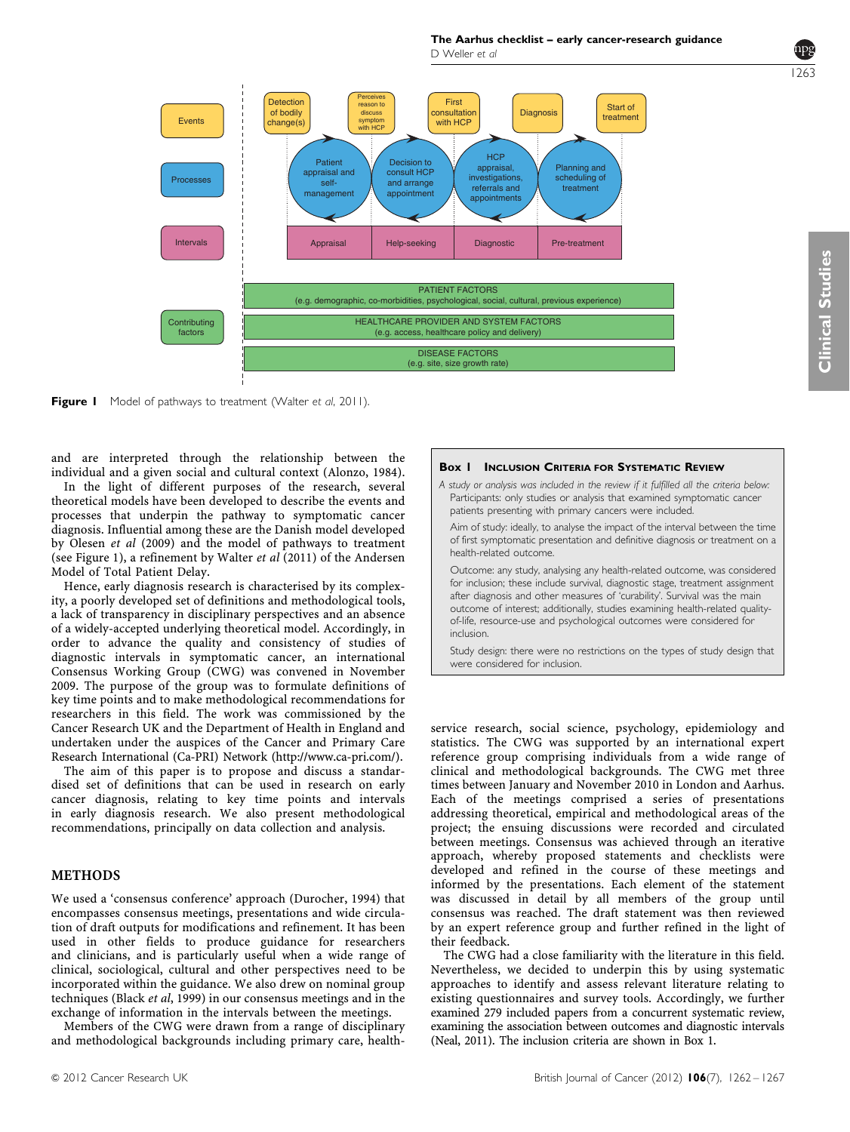

<span id="page-2-0"></span>

Figure I Model of pathways to treatment ([Walter](#page-6-0) et al, 2011).

and are interpreted through the relationship between the individual and a given social and cultural context ([Alonzo, 1984\)](#page-5-0).

In the light of different purposes of the research, several theoretical models have been developed to describe the events and processes that underpin the pathway to symptomatic cancer diagnosis. Influential among these are the Danish model developed by [Olesen](#page-6-0) et al (2009) and the model of pathways to treatment (see Figure 1), a refinement by [Walter](#page-6-0) et al (2011) of the Andersen Model of Total Patient Delay.

Hence, early diagnosis research is characterised by its complexity, a poorly developed set of definitions and methodological tools, a lack of transparency in disciplinary perspectives and an absence of a widely-accepted underlying theoretical model. Accordingly, in order to advance the quality and consistency of studies of diagnostic intervals in symptomatic cancer, an international Consensus Working Group (CWG) was convened in November 2009. The purpose of the group was to formulate definitions of key time points and to make methodological recommendations for researchers in this field. The work was commissioned by the Cancer Research UK and the Department of Health in England and undertaken under the auspices of the [Cancer and Primary Care](#page-5-0) [Research International \(Ca-PRI\) Network](#page-5-0) [\(http://www.ca-pri.com/](http://www.ca-pri.com/)).

The aim of this paper is to propose and discuss a standardised set of definitions that can be used in research on early cancer diagnosis, relating to key time points and intervals in early diagnosis research. We also present methodological recommendations, principally on data collection and analysis.

#### METHODS

We used a 'consensus conference' approach [\(Durocher, 1994](#page-6-0)) that encompasses consensus meetings, presentations and wide circulation of draft outputs for modifications and refinement. It has been used in other fields to produce guidance for researchers and clinicians, and is particularly useful when a wide range of clinical, sociological, cultural and other perspectives need to be incorporated within the guidance. We also drew on nominal group techniques (Black et al[, 1999](#page-5-0)) in our consensus meetings and in the exchange of information in the intervals between the meetings.

Members of the CWG were drawn from a range of disciplinary and methodological backgrounds including primary care, health-



service research, social science, psychology, epidemiology and statistics. The CWG was supported by an international expert reference group comprising individuals from a wide range of clinical and methodological backgrounds. The CWG met three times between January and November 2010 in London and Aarhus. Each of the meetings comprised a series of presentations addressing theoretical, empirical and methodological areas of the project; the ensuing discussions were recorded and circulated between meetings. Consensus was achieved through an iterative approach, whereby proposed statements and checklists were developed and refined in the course of these meetings and informed by the presentations. Each element of the statement was discussed in detail by all members of the group until consensus was reached. The draft statement was then reviewed by an expert reference group and further refined in the light of their feedback.

The CWG had a close familiarity with the literature in this field. Nevertheless, we decided to underpin this by using systematic approaches to identify and assess relevant literature relating to existing questionnaires and survey tools. Accordingly, we further examined 279 included papers from a concurrent systematic review, examining the association between outcomes and diagnostic intervals [\(Neal, 2011\)](#page-6-0). The inclusion criteria are shown in Box 1.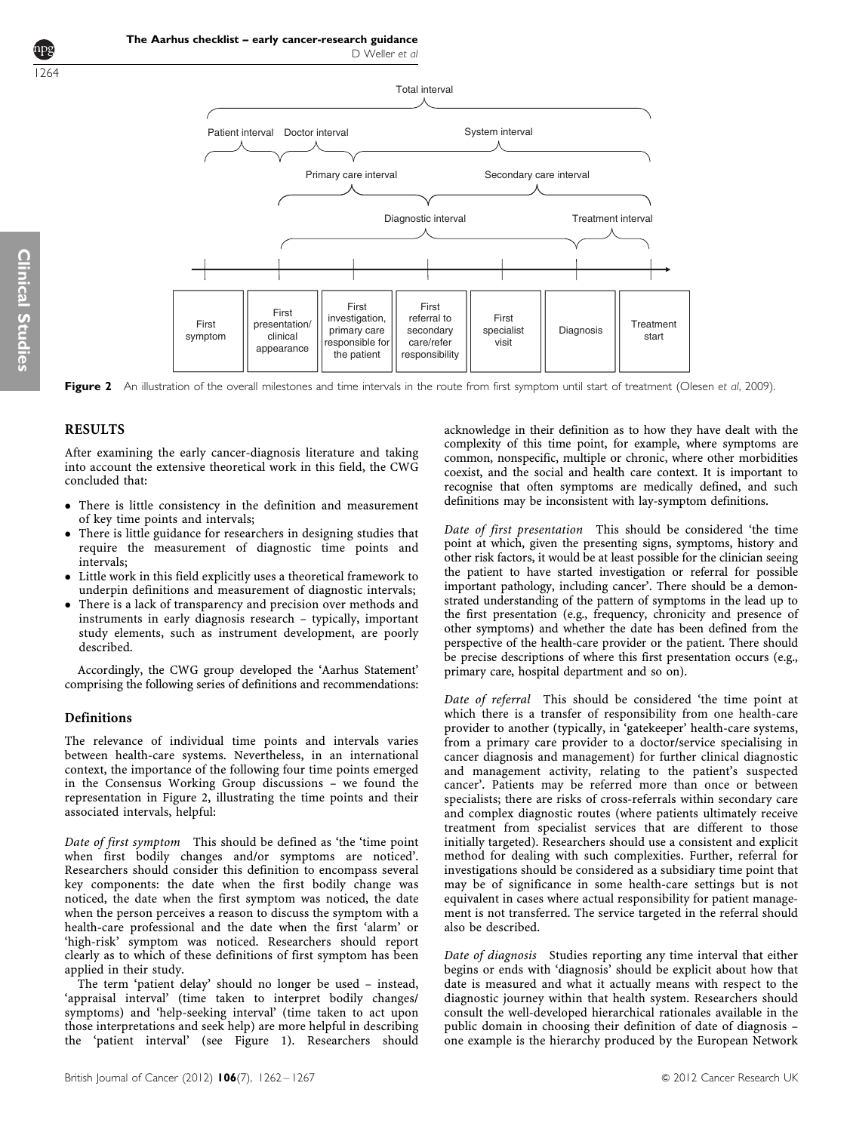

Figure 2 An illustration of the overall milestones and time intervals in the route from first symptom until start of treatment ([Olesen](#page-6-0) et al, 2009).

#### RESULTS

After examining the early cancer-diagnosis literature and taking into account the extensive theoretical work in this field, the CWG concluded that:

- $\bullet$  There is little consistency in the definition and measurement of key time points and intervals;
- - There is little guidance for researchers in designing studies that require the measurement of diagnostic time points and intervals;
- $\bullet$  Little work in this field explicitly uses a theoretical framework to underpin definitions and measurement of diagnostic intervals;
- $\bullet$  There is a lack of transparency and precision over methods and instruments in early diagnosis research – typically, important study elements, such as instrument development, are poorly described.

Accordingly, the CWG group developed the 'Aarhus Statement' comprising the following series of definitions and recommendations:

#### Definitions

The relevance of individual time points and intervals varies between health-care systems. Nevertheless, in an international context, the importance of the following four time points emerged in the Consensus Working Group discussions – we found the representation in Figure 2, illustrating the time points and their associated intervals, helpful:

Date of first symptom This should be defined as 'the 'time point when first bodily changes and/or symptoms are noticed'. Researchers should consider this definition to encompass several key components: the date when the first bodily change was noticed, the date when the first symptom was noticed, the date when the person perceives a reason to discuss the symptom with a health-care professional and the date when the first 'alarm' or 'high-risk' symptom was noticed. Researchers should report clearly as to which of these definitions of first symptom has been applied in their study.

The term 'patient delay' should no longer be used – instead, 'appraisal interval' (time taken to interpret bodily changes/ symptoms) and 'help-seeking interval' (time taken to act upon those interpretations and seek help) are more helpful in describing the 'patient interval' (see [Figure 1](#page-2-0)). Researchers should acknowledge in their definition as to how they have dealt with the complexity of this time point, for example, where symptoms are common, nonspecific, multiple or chronic, where other morbidities coexist, and the social and health care context. It is important to recognise that often symptoms are medically defined, and such definitions may be inconsistent with lay-symptom definitions.

Date of first presentation This should be considered 'the time point at which, given the presenting signs, symptoms, history and other risk factors, it would be at least possible for the clinician seeing the patient to have started investigation or referral for possible important pathology, including cancer'. There should be a demonstrated understanding of the pattern of symptoms in the lead up to the first presentation (e.g., frequency, chronicity and presence of other symptoms) and whether the date has been defined from the perspective of the health-care provider or the patient. There should be precise descriptions of where this first presentation occurs (e.g., primary care, hospital department and so on).

Date of referral This should be considered 'the time point at which there is a transfer of responsibility from one health-care provider to another (typically, in 'gatekeeper' health-care systems, from a primary care provider to a doctor/service specialising in cancer diagnosis and management) for further clinical diagnostic and management activity, relating to the patient's suspected cancer'. Patients may be referred more than once or between specialists; there are risks of cross-referrals within secondary care and complex diagnostic routes (where patients ultimately receive treatment from specialist services that are different to those initially targeted). Researchers should use a consistent and explicit method for dealing with such complexities. Further, referral for investigations should be considered as a subsidiary time point that may be of significance in some health-care settings but is not equivalent in cases where actual responsibility for patient management is not transferred. The service targeted in the referral should also be described.

Date of diagnosis Studies reporting any time interval that either begins or ends with 'diagnosis' should be explicit about how that date is measured and what it actually means with respect to the diagnostic journey within that health system. Researchers should consult the well-developed hierarchical rationales available in the public domain in choosing their definition of date of diagnosis – one example is the hierarchy produced by the European Network

1264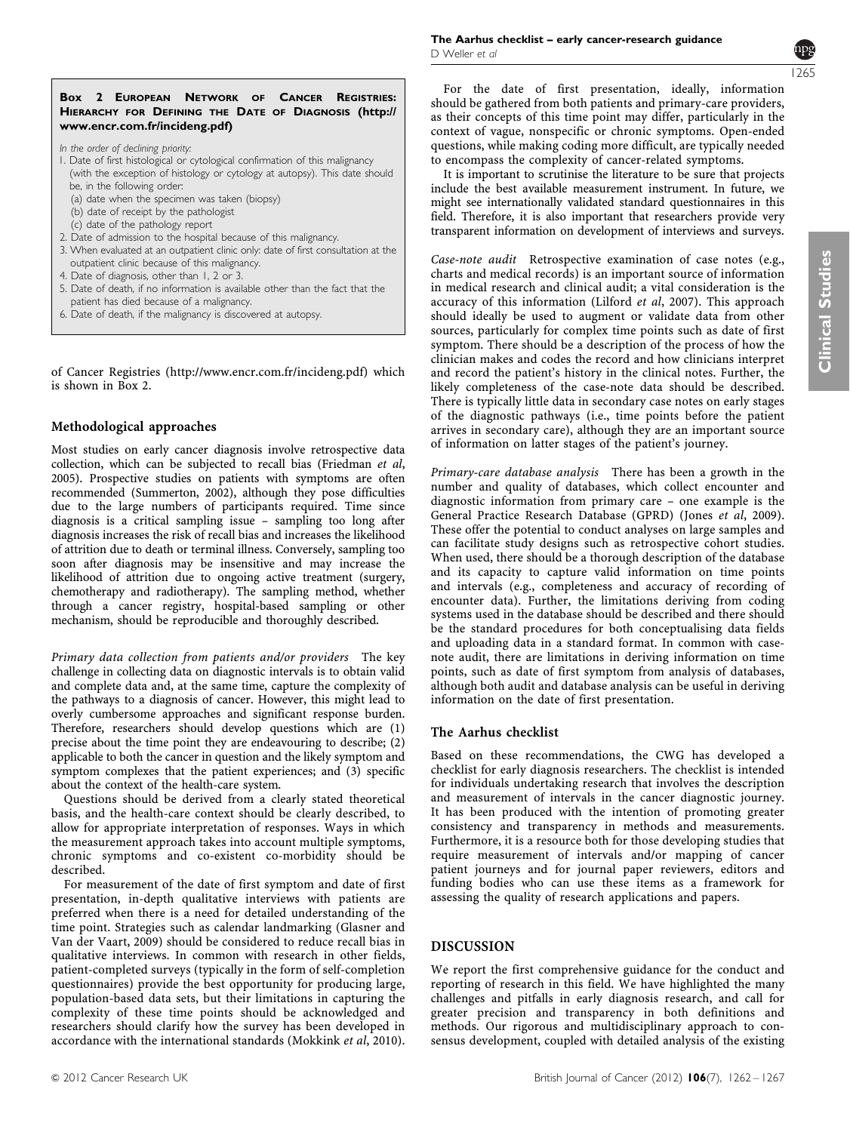

#### Box 2 EUROPEAN NETWORK OF CANCER REGISTRIES: HIERARCHY FOR DEFINING THE DATE OF DIAGNOSIS (http:// www.encr.com.fr/incideng.pdf)

- In the order of declining priority:
- 1. Date of first histological or cytological confirmation of this malignancy (with the exception of histology or cytology at autopsy). This date should be, in the following order:
- (a) date when the specimen was taken (biopsy)
- (b) date of receipt by the pathologist
- (c) date of the pathology report
- 2. Date of admission to the hospital because of this malignancy.
- 3. When evaluated at an outpatient clinic only: date of first consultation at the outpatient clinic because of this malignancy.
- 4. Date of diagnosis, other than 1, 2 or 3.
- 5. Date of death, if no information is available other than the fact that the patient has died because of a malignancy.
- 6. Date of death, if the malignancy is discovered at autopsy.

of Cancer Registries [\(http://www.encr.com.fr/incideng.pdf\)](http://www.encr.com.fr/incideng.pdf) which is shown in Box 2.

#### Methodological approaches

Most studies on early cancer diagnosis involve retrospective data collection, which can be subjected to recall bias ([Friedman](#page-6-0) et al, [2005](#page-6-0)). Prospective studies on patients with symptoms are often recommended [\(Summerton, 2002](#page-6-0)), although they pose difficulties due to the large numbers of participants required. Time since diagnosis is a critical sampling issue – sampling too long after diagnosis increases the risk of recall bias and increases the likelihood of attrition due to death or terminal illness. Conversely, sampling too soon after diagnosis may be insensitive and may increase the likelihood of attrition due to ongoing active treatment (surgery, chemotherapy and radiotherapy). The sampling method, whether through a cancer registry, hospital-based sampling or other mechanism, should be reproducible and thoroughly described.

Primary data collection from patients and/or providers The key challenge in collecting data on diagnostic intervals is to obtain valid and complete data and, at the same time, capture the complexity of the pathways to a diagnosis of cancer. However, this might lead to overly cumbersome approaches and significant response burden. Therefore, researchers should develop questions which are (1) precise about the time point they are endeavouring to describe; (2) applicable to both the cancer in question and the likely symptom and symptom complexes that the patient experiences; and (3) specific about the context of the health-care system.

Questions should be derived from a clearly stated theoretical basis, and the health-care context should be clearly described, to allow for appropriate interpretation of responses. Ways in which the measurement approach takes into account multiple symptoms, chronic symptoms and co-existent co-morbidity should be described.

For measurement of the date of first symptom and date of first presentation, in-depth qualitative interviews with patients are preferred when there is a need for detailed understanding of the time point. Strategies such as calendar landmarking ([Glasner and](#page-6-0) [Van der Vaart, 2009\)](#page-6-0) should be considered to reduce recall bias in qualitative interviews. In common with research in other fields, patient-completed surveys (typically in the form of self-completion questionnaires) provide the best opportunity for producing large, population-based data sets, but their limitations in capturing the complexity of these time points should be acknowledged and researchers should clarify how the survey has been developed in accordance with the international standards ([Mokkink](#page-6-0) et al, 2010).

It is important to scrutinise the literature to be sure that projects include the best available measurement instrument. In future, we might see internationally validated standard questionnaires in this field. Therefore, it is also important that researchers provide very transparent information on development of interviews and surveys.

Case-note audit Retrospective examination of case notes (e.g., charts and medical records) is an important source of information in medical research and clinical audit; a vital consideration is the accuracy of this information [\(Lilford](#page-6-0) et al, 2007). This approach should ideally be used to augment or validate data from other sources, particularly for complex time points such as date of first symptom. There should be a description of the process of how the clinician makes and codes the record and how clinicians interpret and record the patient's history in the clinical notes. Further, the likely completeness of the case-note data should be described. There is typically little data in secondary case notes on early stages of the diagnostic pathways (i.e., time points before the patient arrives in secondary care), although they are an important source of information on latter stages of the patient's journey.

Primary-care database analysis There has been a growth in the number and quality of databases, which collect encounter and diagnostic information from primary care – one example is the General Practice Research Database (GPRD) (Jones et al[, 2009\)](#page-6-0). These offer the potential to conduct analyses on large samples and can facilitate study designs such as retrospective cohort studies. When used, there should be a thorough description of the database and its capacity to capture valid information on time points and intervals (e.g., completeness and accuracy of recording of encounter data). Further, the limitations deriving from coding systems used in the database should be described and there should be the standard procedures for both conceptualising data fields and uploading data in a standard format. In common with casenote audit, there are limitations in deriving information on time points, such as date of first symptom from analysis of databases, although both audit and database analysis can be useful in deriving information on the date of first presentation.

#### The Aarhus checklist

Based on these recommendations, the CWG has developed a checklist for early diagnosis researchers. The checklist is intended for individuals undertaking research that involves the description and measurement of intervals in the cancer diagnostic journey. It has been produced with the intention of promoting greater consistency and transparency in methods and measurements. Furthermore, it is a resource both for those developing studies that require measurement of intervals and/or mapping of cancer patient journeys and for journal paper reviewers, editors and funding bodies who can use these items as a framework for assessing the quality of research applications and papers.

#### DISCUSSION

We report the first comprehensive guidance for the conduct and reporting of research in this field. We have highlighted the many challenges and pitfalls in early diagnosis research, and call for greater precision and transparency in both definitions and methods. Our rigorous and multidisciplinary approach to consensus development, coupled with detailed analysis of the existing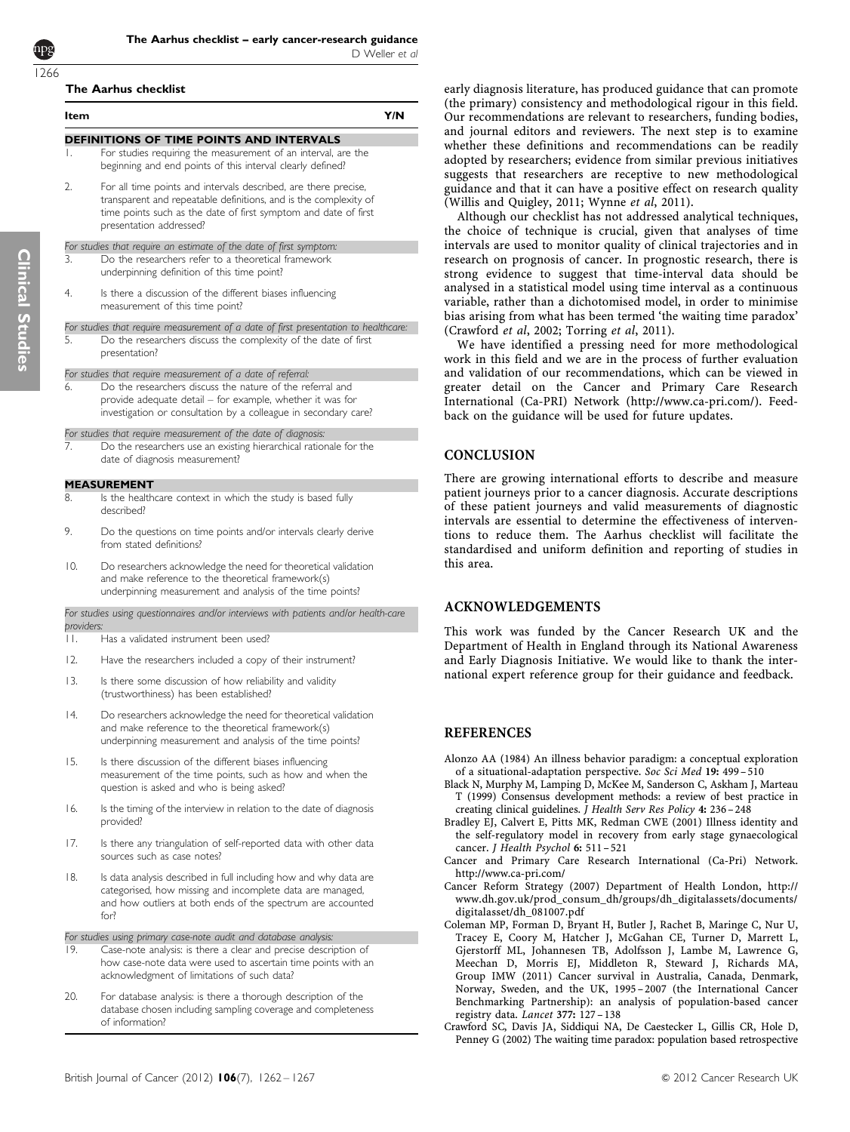#### <span id="page-5-0"></span>The Aarhus checklist

| Item             |                                                                                                                                                                                                                                                          | Y/N |
|------------------|----------------------------------------------------------------------------------------------------------------------------------------------------------------------------------------------------------------------------------------------------------|-----|
|                  |                                                                                                                                                                                                                                                          |     |
| Ι.               | <b>DEFINITIONS OF TIME POINTS AND INTERVALS</b><br>For studies requiring the measurement of an interval, are the                                                                                                                                         |     |
|                  | beginning and end points of this interval clearly defined?                                                                                                                                                                                               |     |
| 2.               | For all time points and intervals described, are there precise,<br>transparent and repeatable definitions, and is the complexity of<br>time points such as the date of first symptom and date of first<br>presentation addressed?                        |     |
| 3.               | For studies that require an estimate of the date of first symptom:<br>Do the researchers refer to a theoretical framework<br>underpinning definition of this time point?                                                                                 |     |
| 4.               | Is there a discussion of the different biases influencing<br>measurement of this time point?                                                                                                                                                             |     |
| 5.               | For studies that require measurement of a date of first presentation to healthcare:<br>Do the researchers discuss the complexity of the date of first<br>presentation?                                                                                   |     |
| 6.               | For studies that require measurement of a date of referral:<br>Do the researchers discuss the nature of the referral and<br>provide adequate detail - for example, whether it was for<br>investigation or consultation by a colleague in secondary care? |     |
| 7.               | For studies that require measurement of the date of diagnosis:<br>Do the researchers use an existing hierarchical rationale for the<br>date of diagnosis measurement?                                                                                    |     |
| 8.               | <b>MEASUREMENT</b><br>Is the healthcare context in which the study is based fully<br>described?                                                                                                                                                          |     |
| 9.               | Do the questions on time points and/or intervals clearly derive<br>from stated definitions?                                                                                                                                                              |     |
| 10.              | Do researchers acknowledge the need for theoretical validation<br>and make reference to the theoretical framework(s)<br>underpinning measurement and analysis of the time points?                                                                        |     |
|                  | For studies using questionnaires and/or interviews with patients and/or health-care                                                                                                                                                                      |     |
| providers:<br>Н. | Has a validated instrument been used?                                                                                                                                                                                                                    |     |
| 12.              | Have the researchers included a copy of their instrument?                                                                                                                                                                                                |     |
| 13.              | Is there some discussion of how reliability and validity<br>(trustworthiness) has been established?                                                                                                                                                      |     |
| 14.              | Do researchers acknowledge the need for theoretical validation<br>and make reference to the theoretical framework(s)<br>underpinning measurement and analysis of the time points?                                                                        |     |
| 15.              | Is there discussion of the different biases influencing<br>measurement of the time points, such as how and when the<br>question is asked and who is being asked?                                                                                         |     |
| 16.              | Is the timing of the interview in relation to the date of diagnosis<br>provided?                                                                                                                                                                         |     |
| 17.              | Is there any triangulation of self-reported data with other data<br>sources such as case notes?                                                                                                                                                          |     |
| 18.              | Is data analysis described in full including how and why data are<br>categorised, how missing and incomplete data are managed,<br>and how outliers at both ends of the spectrum are accounted<br>for?                                                    |     |
|                  | For studies using primary case-note audit and database analysis:                                                                                                                                                                                         |     |
| 19.              | Case-note analysis: is there a clear and precise description of<br>how case-note data were used to ascertain time points with an<br>acknowledgment of limitations of such data?                                                                          |     |
| 20.              | For database analysis: is there a thorough description of the<br>database chosen including sampling coverage and completeness<br>of information?                                                                                                         |     |

early diagnosis literature, has produced guidance that can promote (the primary) consistency and methodological rigour in this field. Our recommendations are relevant to researchers, funding bodies, and journal editors and reviewers. The next step is to examine whether these definitions and recommendations can be readily adopted by researchers; evidence from similar previous initiatives suggests that researchers are receptive to new methodological guidance and that it can have a positive effect on research quality ([Willis and Quigley, 2011](#page-6-0); [Wynne](#page-6-0) et al, 2011).

Although our checklist has not addressed analytical techniques, the choice of technique is crucial, given that analyses of time intervals are used to monitor quality of clinical trajectories and in research on prognosis of cancer. In prognostic research, there is strong evidence to suggest that time-interval data should be analysed in a statistical model using time interval as a continuous variable, rather than a dichotomised model, in order to minimise bias arising from what has been termed 'the waiting time paradox' (Crawford et al, 2002; [Torring](#page-6-0) et al, 2011).

We have identified a pressing need for more methodological work in this field and we are in the process of further evaluation and validation of our recommendations, which can be viewed in greater detail on the Cancer and Primary Care Research International (Ca-PRI) Network [\(http://www.ca-pri.com/\)](http://www.ca-pri.com/). Feedback on the guidance will be used for future updates.

#### **CONCLUSION**

There are growing international efforts to describe and measure patient journeys prior to a cancer diagnosis. Accurate descriptions of these patient journeys and valid measurements of diagnostic intervals are essential to determine the effectiveness of interventions to reduce them. The Aarhus checklist will facilitate the standardised and uniform definition and reporting of studies in this area.

#### ACKNOWLEDGEMENTS

This work was funded by the Cancer Research UK and the Department of Health in England through its National Awareness and Early Diagnosis Initiative. We would like to thank the international expert reference group for their guidance and feedback.

#### REFERENCES

Alonzo AA (1984) An illness behavior paradigm: a conceptual exploration of a situational-adaptation perspective. Soc Sci Med 19: 499 – 510

- Black N, Murphy M, Lamping D, McKee M, Sanderson C, Askham J, Marteau T (1999) Consensus development methods: a review of best practice in creating clinical guidelines. J Health Serv Res Policy 4: 236 – 248
- Bradley EJ, Calvert E, Pitts MK, Redman CWE (2001) Illness identity and the self-regulatory model in recovery from early stage gynaecological cancer. J Health Psychol 6: 511-521
- Cancer and Primary Care Research International (Ca-Pri) Network. <http://www.ca-pri.com/>
- Cancer Reform Strategy (2007) Department of Health London, http:// www.dh.gov.uk/prod\_consum\_dh/groups/dh\_digitalassets/documents/ digitalasset/dh\_081007.pdf
- Coleman MP, Forman D, Bryant H, Butler J, Rachet B, Maringe C, Nur U, Tracey E, Coory M, Hatcher J, McGahan CE, Turner D, Marrett L, Gjerstorff ML, Johannesen TB, Adolfsson J, Lambe M, Lawrence G, Meechan D, Morris EJ, Middleton R, Steward J, Richards MA, Group IMW (2011) Cancer survival in Australia, Canada, Denmark, Norway, Sweden, and the UK, 1995 – 2007 (the International Cancer Benchmarking Partnership): an analysis of population-based cancer registry data. Lancet 377: 127 – 138
- Crawford SC, Davis JA, Siddiqui NA, De Caestecker L, Gillis CR, Hole D, Penney G (2002) The waiting time paradox: population based retrospective